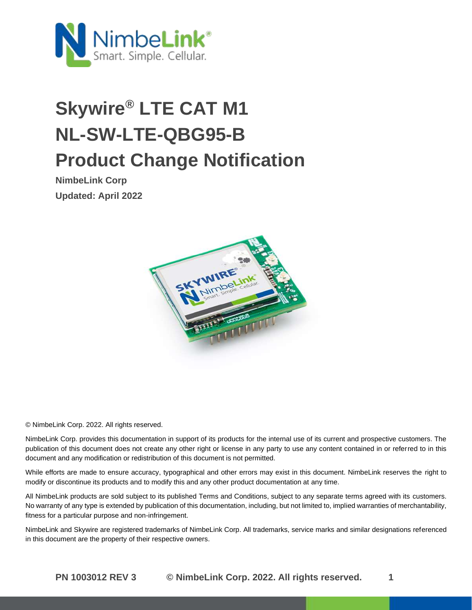

# **Skywire® LTE CAT M1 NL-SW-LTE-QBG95-B Product Change Notification**

**NimbeLink Corp Updated: April 2022**



© NimbeLink Corp. 2022. All rights reserved.

NimbeLink Corp. provides this documentation in support of its products for the internal use of its current and prospective customers. The publication of this document does not create any other right or license in any party to use any content contained in or referred to in this document and any modification or redistribution of this document is not permitted.

While efforts are made to ensure accuracy, typographical and other errors may exist in this document. NimbeLink reserves the right to modify or discontinue its products and to modify this and any other product documentation at any time.

All NimbeLink products are sold subject to its published Terms and Conditions, subject to any separate terms agreed with its customers. No warranty of any type is extended by publication of this documentation, including, but not limited to, implied warranties of merchantability, fitness for a particular purpose and non-infringement.

NimbeLink and Skywire are registered trademarks of NimbeLink Corp. All trademarks, service marks and similar designations referenced in this document are the property of their respective owners.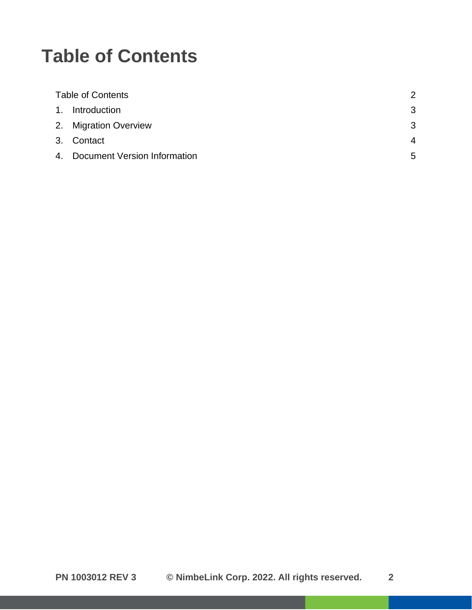#### <span id="page-1-0"></span>**Table of Contents**

| <b>Table of Contents</b> |                              | 2 |
|--------------------------|------------------------------|---|
|                          | 1. Introduction              | 3 |
|                          | 2. Migration Overview        | 3 |
|                          | 3. Contact                   | 4 |
| 4.                       | Document Version Information | 5 |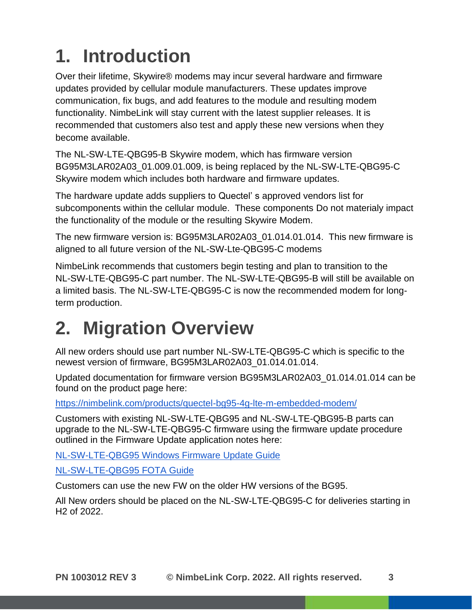## <span id="page-2-0"></span>**1. Introduction**

Over their lifetime, Skywire® modems may incur several hardware and firmware updates provided by cellular module manufacturers. These updates improve communication, fix bugs, and add features to the module and resulting modem functionality. NimbeLink will stay current with the latest supplier releases. It is recommended that customers also test and apply these new versions when they become available.

The NL-SW-LTE-QBG95-B Skywire modem, which has firmware version BG95M3LAR02A03\_01.009.01.009, is being replaced by the NL-SW-LTE-QBG95-C Skywire modem which includes both hardware and firmware updates.

The hardware update adds suppliers to Quectel' s approved vendors list for subcomponents within the cellular module. These components Do not materialy impact the functionality of the module or the resulting Skywire Modem.

The new firmware version is: BG95M3LAR02A03\_01.014.01.014. This new firmware is aligned to all future version of the NL-SW-Lte-QBG95-C modems

NimbeLink recommends that customers begin testing and plan to transition to the NL-SW-LTE-QBG95-C part number. The NL-SW-LTE-QBG95-B will still be available on a limited basis. The NL-SW-LTE-QBG95-C is now the recommended modem for longterm production.

### <span id="page-2-1"></span>**2. Migration Overview**

All new orders should use part number NL-SW-LTE-QBG95-C which is specific to the newest version of firmware, BG95M3LAR02A03\_01.014.01.014.

Updated documentation for firmware version BG95M3LAR02A03\_01.014.01.014 can be found on the product page here:

<https://nimbelink.com/products/quectel-bg95-4g-lte-m-embedded-modem/>

Customers with existing NL-SW-LTE-QBG95 and NL-SW-LTE-QBG95-B parts can upgrade to the NL-SW-LTE-QBG95-C firmware using the firmware update procedure outlined in the Firmware Update application notes here:

[NL-SW-LTE-QBG95 Windows Firmware Update Guide](https://nimbelink.com/Documentation/Skywire/4G_LTE_Cat_M1_Quectel/1002538_NL-SW-LTE-QBG95_Windows_Firmware_Update.pdf)

[NL-SW-LTE-QBG95 FOTA Guide](https://nimbelink.com/Documentation/Skywire/4G_LTE_Cat_M1_Quectel/1002298_NL-SW-LTE-QBG9x_FOTA-Guide.pdf)

Customers can use the new FW on the older HW versions of the BG95.

All New orders should be placed on the NL-SW-LTE-QBG95-C for deliveries starting in H2 of 2022.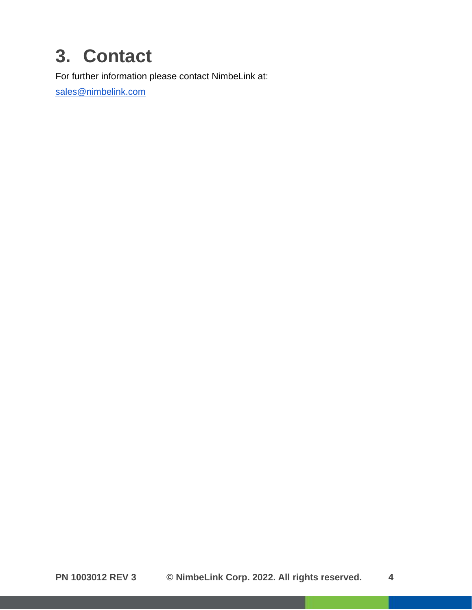### <span id="page-3-0"></span>**3. Contact**

For further information please contact NimbeLink at:

[sales@nimbelink.com](mailto:sales@nimbelink.com)